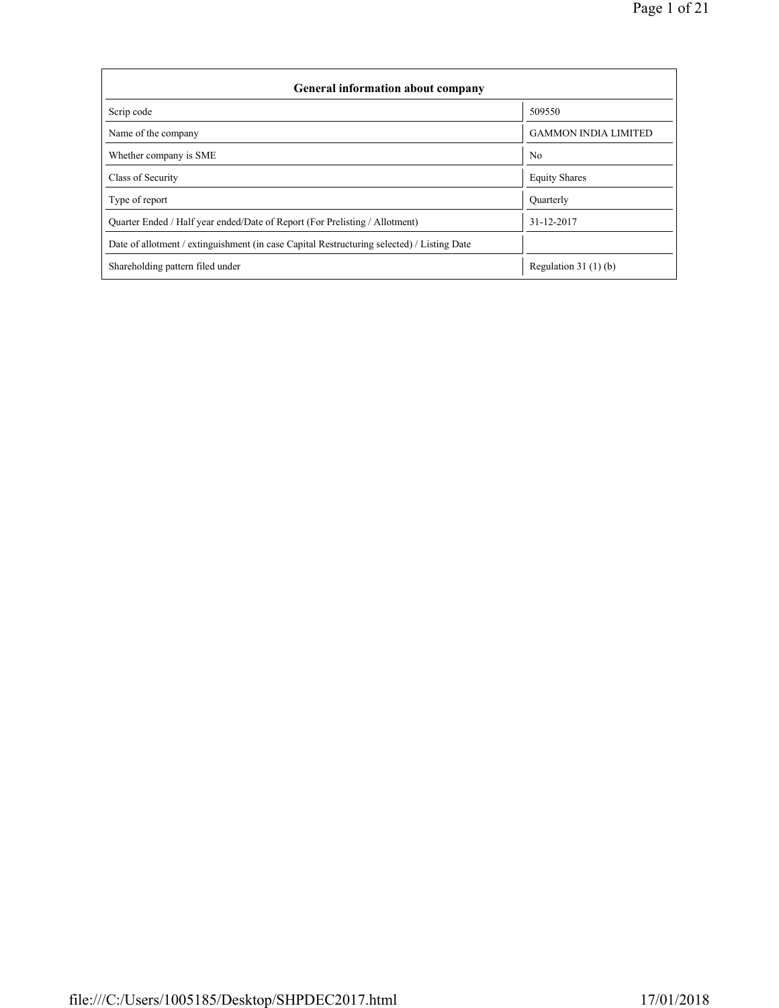| <b>General information about company</b>                                                   |                             |  |  |  |  |  |  |  |
|--------------------------------------------------------------------------------------------|-----------------------------|--|--|--|--|--|--|--|
| Scrip code                                                                                 | 509550                      |  |  |  |  |  |  |  |
| Name of the company                                                                        | <b>GAMMON INDIA LIMITED</b> |  |  |  |  |  |  |  |
| Whether company is SME                                                                     | N <sub>0</sub>              |  |  |  |  |  |  |  |
| Class of Security                                                                          | <b>Equity Shares</b>        |  |  |  |  |  |  |  |
| Type of report                                                                             | Quarterly                   |  |  |  |  |  |  |  |
| Quarter Ended / Half year ended/Date of Report (For Prelisting / Allotment)                | 31-12-2017                  |  |  |  |  |  |  |  |
| Date of allotment / extinguishment (in case Capital Restructuring selected) / Listing Date |                             |  |  |  |  |  |  |  |
| Shareholding pattern filed under                                                           | Regulation 31 $(1)(b)$      |  |  |  |  |  |  |  |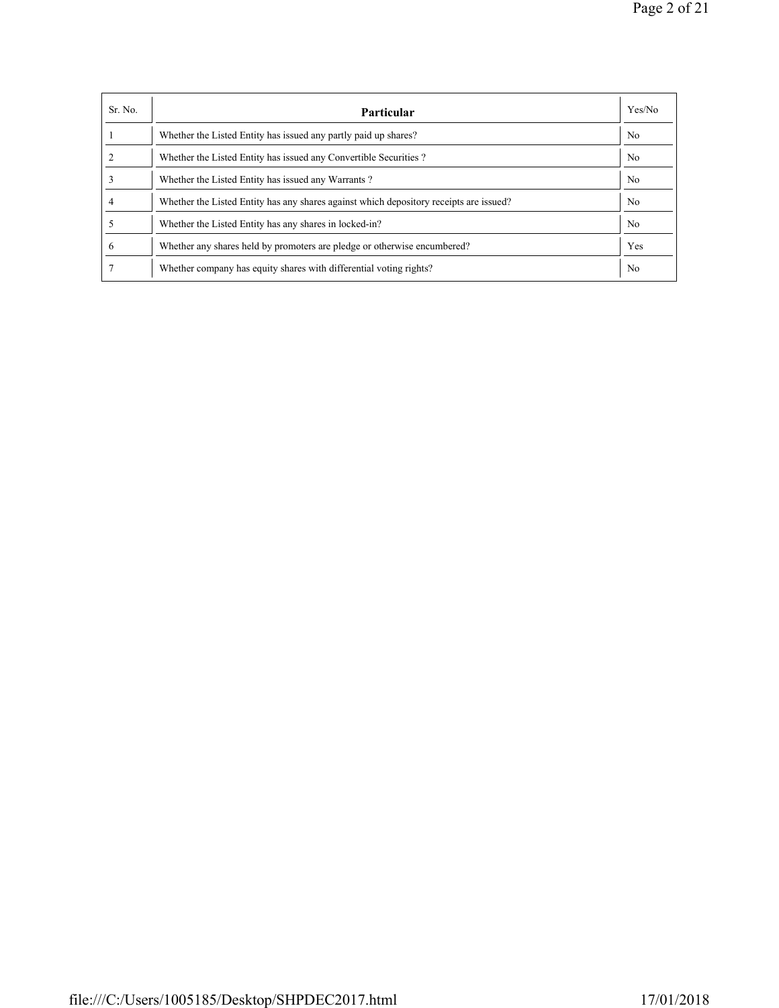| Sr. No. | <b>Particular</b>                                                                      | Yes/No         |
|---------|----------------------------------------------------------------------------------------|----------------|
|         | Whether the Listed Entity has issued any partly paid up shares?                        | N <sub>0</sub> |
|         | Whether the Listed Entity has issued any Convertible Securities?                       | N <sub>0</sub> |
|         | Whether the Listed Entity has issued any Warrants?                                     | N <sub>0</sub> |
|         | Whether the Listed Entity has any shares against which depository receipts are issued? | N <sub>0</sub> |
|         | Whether the Listed Entity has any shares in locked-in?                                 | N <sub>0</sub> |
| 6       | Whether any shares held by promoters are pledge or otherwise encumbered?               | Yes            |
|         | Whether company has equity shares with differential voting rights?                     | N <sub>0</sub> |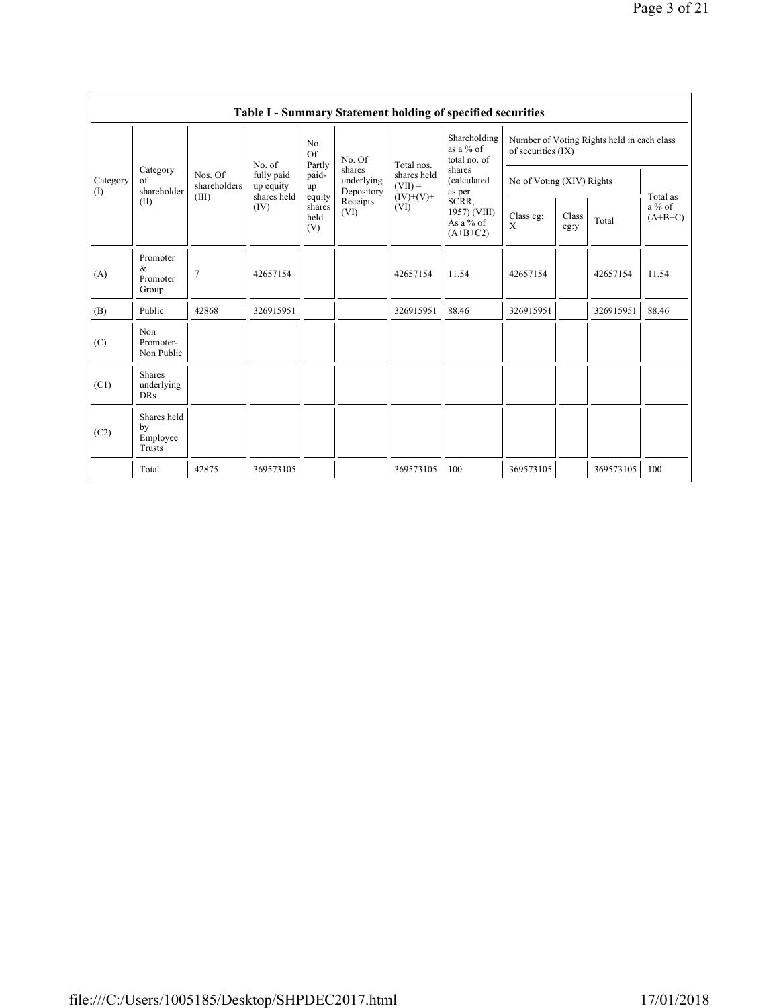|               | Table I - Summary Statement holding of specified securities |                         |                         |                                 |                                    |                                                               |                                                                                                                                      |                                                                  |               |           |                                   |
|---------------|-------------------------------------------------------------|-------------------------|-------------------------|---------------------------------|------------------------------------|---------------------------------------------------------------|--------------------------------------------------------------------------------------------------------------------------------------|------------------------------------------------------------------|---------------|-----------|-----------------------------------|
| Category<br>( |                                                             |                         | No. of                  | No.<br>Of<br>Partly             | No. Of                             | Total nos.<br>shares held<br>$(VII) =$<br>$(IV)+(V)+$<br>(VI) | Shareholding<br>as a $%$ of<br>total no. of<br>shares<br>(calculated<br>as per<br>SCRR,<br>1957) (VIII)<br>As a $%$ of<br>$(A+B+C2)$ | Number of Voting Rights held in each class<br>of securities (IX) |               |           |                                   |
|               | Category<br>of<br>shareholder                               | Nos. Of<br>shareholders | fully paid<br>up equity | paid-<br>up                     | shares<br>underlying<br>Depository |                                                               |                                                                                                                                      | No of Voting (XIV) Rights                                        |               |           |                                   |
|               | (II)                                                        | (III)                   | shares held<br>(IV)     | equity<br>shares<br>held<br>(V) | Receipts<br>(VI)                   |                                                               |                                                                                                                                      | Class eg:<br>X                                                   | Class<br>eg:y | Total     | Total as<br>$a\%$ of<br>$(A+B+C)$ |
| (A)           | Promoter<br>&<br>Promoter<br>Group                          | $\overline{7}$          | 42657154                |                                 |                                    | 42657154                                                      | 11.54                                                                                                                                | 42657154                                                         |               | 42657154  | 11.54                             |
| (B)           | Public                                                      | 42868                   | 326915951               |                                 |                                    | 326915951                                                     | 88.46                                                                                                                                | 326915951                                                        |               | 326915951 | 88.46                             |
| (C)           | Non<br>Promoter-<br>Non Public                              |                         |                         |                                 |                                    |                                                               |                                                                                                                                      |                                                                  |               |           |                                   |
| (C1)          | <b>Shares</b><br>underlying<br><b>DRs</b>                   |                         |                         |                                 |                                    |                                                               |                                                                                                                                      |                                                                  |               |           |                                   |
| (C2)          | Shares held<br>by<br>Employee<br>Trusts                     |                         |                         |                                 |                                    |                                                               |                                                                                                                                      |                                                                  |               |           |                                   |
|               | Total                                                       | 42875                   | 369573105               |                                 |                                    | 369573105                                                     | 100                                                                                                                                  | 369573105                                                        |               | 369573105 | 100                               |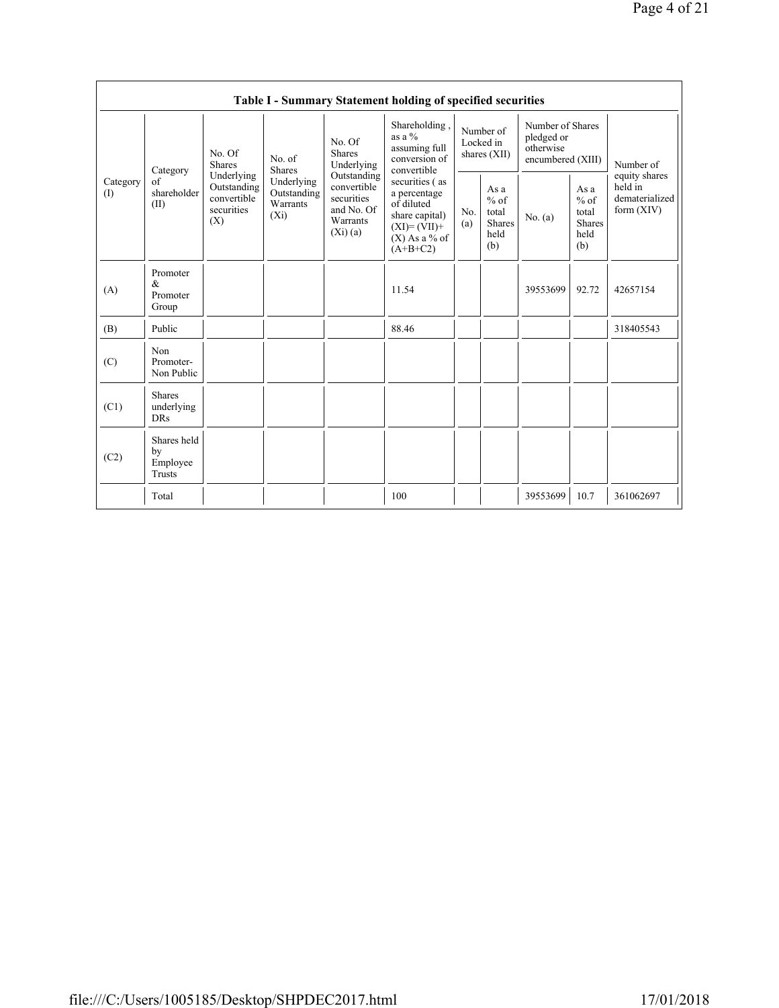|                 | Table I - Summary Statement holding of specified securities |                                                                                                                                                   |             |                                                                               |                                                                                                                     |                                          |                                                         |                                                                  |                                                         |                                                            |  |
|-----------------|-------------------------------------------------------------|---------------------------------------------------------------------------------------------------------------------------------------------------|-------------|-------------------------------------------------------------------------------|---------------------------------------------------------------------------------------------------------------------|------------------------------------------|---------------------------------------------------------|------------------------------------------------------------------|---------------------------------------------------------|------------------------------------------------------------|--|
| Category<br>(1) | Category<br>of<br>shareholder<br>(II)                       | No. Of<br>No. of<br><b>Shares</b><br>Shares<br>Underlying<br>Underlying<br>Outstanding<br>convertible<br>Warrants<br>securities<br>$(X_i)$<br>(X) |             | No. Of<br>Shares<br>Underlying                                                | Shareholding,<br>as a $%$<br>assuming full<br>conversion of<br>convertible                                          | Number of<br>Locked in<br>shares $(XII)$ |                                                         | Number of Shares<br>pledged or<br>otherwise<br>encumbered (XIII) |                                                         | Number of                                                  |  |
|                 |                                                             |                                                                                                                                                   | Outstanding | Outstanding<br>convertible<br>securities<br>and No. Of<br>Warrants<br>(Xi)(a) | securities (as<br>a percentage<br>of diluted<br>share capital)<br>$(XI) = (VII) +$<br>$(X)$ As a % of<br>$(A+B+C2)$ | No.<br>(a)                               | As a<br>$%$ of<br>total<br><b>Shares</b><br>held<br>(b) | No. (a)                                                          | As a<br>$%$ of<br>total<br><b>Shares</b><br>held<br>(b) | equity shares<br>held in<br>dematerialized<br>form $(XIV)$ |  |
| (A)             | Promoter<br>$\&$<br>Promoter<br>Group                       |                                                                                                                                                   |             |                                                                               | 11.54                                                                                                               |                                          |                                                         | 39553699                                                         | 92.72                                                   | 42657154                                                   |  |
| (B)             | Public                                                      |                                                                                                                                                   |             |                                                                               | 88.46                                                                                                               |                                          |                                                         |                                                                  |                                                         | 318405543                                                  |  |
| (C)             | Non<br>Promoter-<br>Non Public                              |                                                                                                                                                   |             |                                                                               |                                                                                                                     |                                          |                                                         |                                                                  |                                                         |                                                            |  |
| (C1)            | <b>Shares</b><br>underlying<br><b>DRs</b>                   |                                                                                                                                                   |             |                                                                               |                                                                                                                     |                                          |                                                         |                                                                  |                                                         |                                                            |  |
| (C2)            | Shares held<br>by<br>Employee<br><b>Trusts</b>              |                                                                                                                                                   |             |                                                                               |                                                                                                                     |                                          |                                                         |                                                                  |                                                         |                                                            |  |
|                 | Total                                                       |                                                                                                                                                   |             |                                                                               | 100                                                                                                                 |                                          |                                                         | 39553699                                                         | 10.7                                                    | 361062697                                                  |  |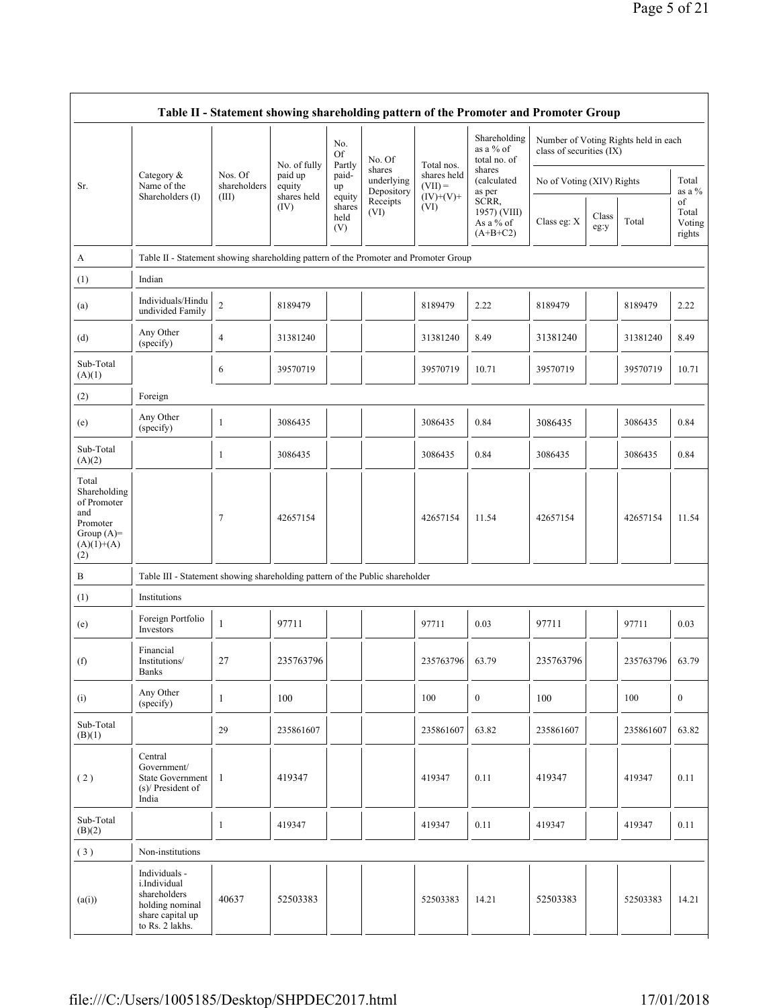| Table II - Statement showing shareholding pattern of the Promoter and Promoter Group           |                                                                                                         |                                  |                                                  |                                 |                                    |                                                       |                                                  |                           |               |                                      |                                 |
|------------------------------------------------------------------------------------------------|---------------------------------------------------------------------------------------------------------|----------------------------------|--------------------------------------------------|---------------------------------|------------------------------------|-------------------------------------------------------|--------------------------------------------------|---------------------------|---------------|--------------------------------------|---------------------------------|
|                                                                                                |                                                                                                         |                                  |                                                  | No.<br><b>Of</b>                | No. Of                             |                                                       | Shareholding<br>as a % of<br>total no. of        | class of securities (IX)  |               | Number of Voting Rights held in each |                                 |
| Sr.                                                                                            | Category &<br>Name of the<br>Shareholders (I)                                                           | Nos. Of<br>shareholders<br>(III) | No. of fully<br>paid up<br>equity<br>shares held | Partly<br>paid-<br>up<br>equity | shares<br>underlying<br>Depository | Total nos.<br>shares held<br>$(VII) =$<br>$(IV)+(V)+$ | shares<br>(calculated<br>as per                  | No of Voting (XIV) Rights |               |                                      | Total<br>as a %                 |
|                                                                                                |                                                                                                         |                                  | (IV)                                             | shares<br>held<br>(V)           | Receipts<br>(VI)                   | (VI)                                                  | SCRR,<br>1957) (VIII)<br>As a % of<br>$(A+B+C2)$ | Class eg: X               | Class<br>eg:y | Total                                | of<br>Total<br>Voting<br>rights |
| A                                                                                              | Table II - Statement showing shareholding pattern of the Promoter and Promoter Group                    |                                  |                                                  |                                 |                                    |                                                       |                                                  |                           |               |                                      |                                 |
| (1)                                                                                            | Indian                                                                                                  |                                  |                                                  |                                 |                                    |                                                       |                                                  |                           |               |                                      |                                 |
| (a)                                                                                            | Individuals/Hindu<br>undivided Family                                                                   | $\overline{2}$                   | 8189479                                          |                                 |                                    | 8189479                                               | 2.22                                             | 8189479                   |               | 8189479                              | 2.22                            |
| (d)                                                                                            | Any Other<br>(specify)                                                                                  | $\overline{4}$                   | 31381240                                         |                                 |                                    | 31381240                                              | 8.49                                             | 31381240                  |               | 31381240                             | 8.49                            |
| Sub-Total<br>(A)(1)                                                                            |                                                                                                         | 6                                | 39570719                                         |                                 |                                    | 39570719                                              | 10.71                                            | 39570719                  |               | 39570719                             | 10.71                           |
| (2)                                                                                            | Foreign                                                                                                 |                                  |                                                  |                                 |                                    |                                                       |                                                  |                           |               |                                      |                                 |
| (e)                                                                                            | Any Other<br>(specify)                                                                                  | $\mathbf{1}$                     | 3086435                                          |                                 |                                    | 3086435                                               | 0.84                                             | 3086435                   |               | 3086435                              | 0.84                            |
| Sub-Total<br>(A)(2)                                                                            |                                                                                                         | 1                                | 3086435                                          |                                 |                                    | 3086435                                               | 0.84                                             | 3086435                   |               | 3086435                              | 0.84                            |
| Total<br>Shareholding<br>of Promoter<br>and<br>Promoter<br>Group $(A)=$<br>$(A)(1)+(A)$<br>(2) |                                                                                                         | $\overline{7}$                   | 42657154                                         |                                 |                                    | 42657154                                              | 11.54                                            | 42657154                  |               | 42657154                             | 11.54                           |
| B                                                                                              | Table III - Statement showing shareholding pattern of the Public shareholder                            |                                  |                                                  |                                 |                                    |                                                       |                                                  |                           |               |                                      |                                 |
| (1)                                                                                            | Institutions                                                                                            |                                  |                                                  |                                 |                                    |                                                       |                                                  |                           |               |                                      |                                 |
| (e)                                                                                            | Foreign Portfolio<br>Investors                                                                          | $\mathbf{1}$                     | 97711                                            |                                 |                                    | 97711                                                 | 0.03                                             | 97711                     |               | 97711                                | 0.03                            |
| (f)                                                                                            | Financial<br>Institutions/<br>Banks                                                                     | 27                               | 235763796                                        |                                 |                                    | 235763796                                             | 63.79                                            | 235763796                 |               | 235763796                            | 63.79                           |
| (i)                                                                                            | Any Other<br>(specify)                                                                                  | 1                                | 100                                              |                                 |                                    | 100                                                   | $\boldsymbol{0}$                                 | 100                       |               | 100                                  | $\boldsymbol{0}$                |
| Sub-Total<br>(B)(1)                                                                            |                                                                                                         | 29                               | 235861607                                        |                                 |                                    | 235861607                                             | 63.82                                            | 235861607                 |               | 235861607                            | 63.82                           |
| (2)                                                                                            | Central<br>Government/<br><b>State Government</b><br>$(s)$ / President of<br>India                      | -1                               | 419347                                           |                                 |                                    | 419347                                                | 0.11                                             | 419347                    |               | 419347                               | 0.11                            |
| Sub-Total<br>(B)(2)                                                                            |                                                                                                         | $\mathbf{1}$                     | 419347                                           |                                 |                                    | 419347                                                | 0.11                                             | 419347                    |               | 419347                               | 0.11                            |
| (3)                                                                                            | Non-institutions                                                                                        |                                  |                                                  |                                 |                                    |                                                       |                                                  |                           |               |                                      |                                 |
| (a(i))                                                                                         | Individuals -<br>i.Individual<br>shareholders<br>holding nominal<br>share capital up<br>to Rs. 2 lakhs. | 40637                            | 52503383                                         |                                 |                                    | 52503383                                              | 14.21                                            | 52503383                  |               | 52503383                             | 14.21                           |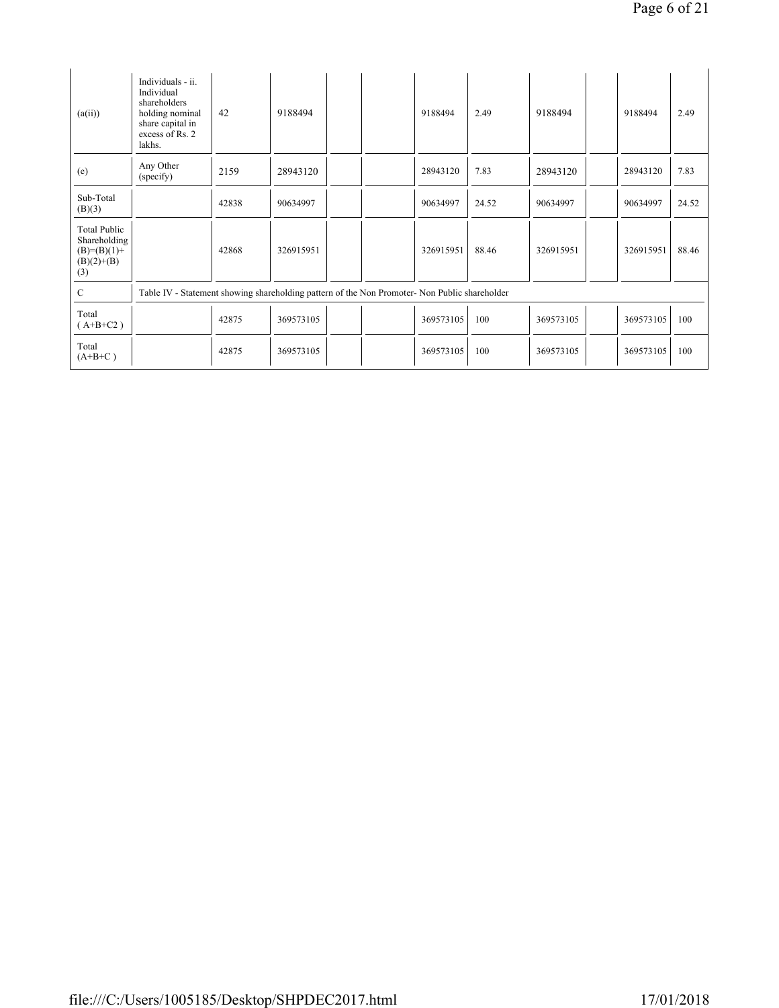| (a(ii))                                                              | Individuals - ii.<br>Individual<br>shareholders<br>holding nominal<br>share capital in<br>excess of Rs. 2<br>lakhs. | 42    | 9188494   |                                                                                               | 9188494   | 2.49  | 9188494   | 9188494   | 2.49  |
|----------------------------------------------------------------------|---------------------------------------------------------------------------------------------------------------------|-------|-----------|-----------------------------------------------------------------------------------------------|-----------|-------|-----------|-----------|-------|
| (e)                                                                  | Any Other<br>(specify)                                                                                              | 2159  | 28943120  |                                                                                               | 28943120  | 7.83  | 28943120  | 28943120  | 7.83  |
| Sub-Total<br>(B)(3)                                                  |                                                                                                                     | 42838 | 90634997  |                                                                                               | 90634997  | 24.52 | 90634997  | 90634997  | 24.52 |
| Total Public<br>Shareholding<br>$(B)=(B)(1)+$<br>$(B)(2)+(B)$<br>(3) |                                                                                                                     | 42868 | 326915951 |                                                                                               | 326915951 | 88.46 | 326915951 | 326915951 | 88.46 |
| $\mathcal{C}$                                                        |                                                                                                                     |       |           | Table IV - Statement showing shareholding pattern of the Non Promoter- Non Public shareholder |           |       |           |           |       |
| Total<br>$(A+B+C2)$                                                  |                                                                                                                     | 42875 | 369573105 |                                                                                               | 369573105 | 100   | 369573105 | 369573105 | 100   |
| Total<br>$(A+B+C)$                                                   |                                                                                                                     | 42875 | 369573105 |                                                                                               | 369573105 | 100   | 369573105 | 369573105 | 100   |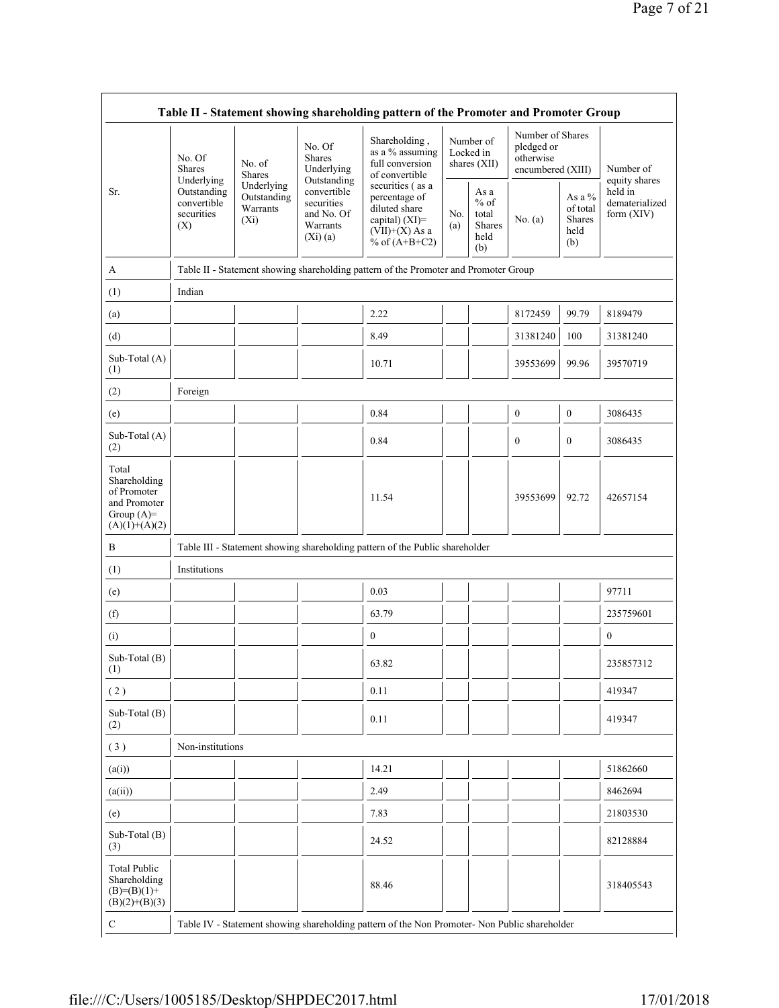|                                                                                         | Table II - Statement showing shareholding pattern of the Promoter and Promoter Group                |                                                                   |                                                                                                             |                                                                                               |                                                         |                                          |                                                                  |                                         |                            |
|-----------------------------------------------------------------------------------------|-----------------------------------------------------------------------------------------------------|-------------------------------------------------------------------|-------------------------------------------------------------------------------------------------------------|-----------------------------------------------------------------------------------------------|---------------------------------------------------------|------------------------------------------|------------------------------------------------------------------|-----------------------------------------|----------------------------|
|                                                                                         | No. Of<br><b>Shares</b><br>Underlying                                                               | No. of<br><b>Shares</b>                                           | No. Of<br>Shares<br>Underlying<br>Outstanding                                                               | Shareholding,<br>as a % assuming<br>full conversion<br>of convertible                         |                                                         | Number of<br>Locked in<br>shares $(XII)$ | Number of Shares<br>pledged or<br>otherwise<br>encumbered (XIII) |                                         | Number of<br>equity shares |
| Sr.                                                                                     | Underlying<br>Outstanding<br>Outstanding<br>convertible<br>Warrants<br>securities<br>$(X_i)$<br>(X) | convertible<br>securities<br>and No. Of<br>Warrants<br>$(Xi)$ (a) | securities (as a<br>percentage of<br>diluted share<br>capital) (XI)=<br>$(VII)+(X)$ As a<br>% of $(A+B+C2)$ | No.<br>(a)                                                                                    | As a<br>$%$ of<br>total<br><b>Shares</b><br>held<br>(b) | No. $(a)$                                | As a $%$<br>of total<br>Shares<br>held<br>(b)                    | held in<br>dematerialized<br>form (XIV) |                            |
| A                                                                                       |                                                                                                     |                                                                   |                                                                                                             | Table II - Statement showing shareholding pattern of the Promoter and Promoter Group          |                                                         |                                          |                                                                  |                                         |                            |
| (1)                                                                                     | Indian                                                                                              |                                                                   |                                                                                                             |                                                                                               |                                                         |                                          |                                                                  |                                         |                            |
| (a)                                                                                     |                                                                                                     |                                                                   |                                                                                                             | 2.22                                                                                          |                                                         |                                          | 8172459                                                          | 99.79                                   | 8189479                    |
| (d)                                                                                     |                                                                                                     |                                                                   |                                                                                                             | 8.49                                                                                          |                                                         |                                          | 31381240                                                         | 100                                     | 31381240                   |
| Sub-Total (A)<br>(1)                                                                    |                                                                                                     |                                                                   |                                                                                                             | 10.71                                                                                         |                                                         |                                          | 39553699                                                         | 99.96                                   | 39570719                   |
| (2)                                                                                     | Foreign                                                                                             |                                                                   |                                                                                                             |                                                                                               |                                                         |                                          |                                                                  |                                         |                            |
| (e)                                                                                     |                                                                                                     |                                                                   |                                                                                                             | 0.84                                                                                          |                                                         |                                          | $\boldsymbol{0}$                                                 | $\boldsymbol{0}$                        | 3086435                    |
| Sub-Total (A)<br>(2)                                                                    |                                                                                                     |                                                                   |                                                                                                             | 0.84                                                                                          |                                                         |                                          | $\boldsymbol{0}$                                                 | $\mathbf{0}$                            | 3086435                    |
| Total<br>Shareholding<br>of Promoter<br>and Promoter<br>Group $(A)=$<br>$(A)(1)+(A)(2)$ |                                                                                                     |                                                                   |                                                                                                             | 11.54                                                                                         |                                                         |                                          | 39553699                                                         | 92.72                                   | 42657154                   |
| $\, {\bf B}$                                                                            |                                                                                                     |                                                                   |                                                                                                             | Table III - Statement showing shareholding pattern of the Public shareholder                  |                                                         |                                          |                                                                  |                                         |                            |
| (1)                                                                                     | Institutions                                                                                        |                                                                   |                                                                                                             |                                                                                               |                                                         |                                          |                                                                  |                                         |                            |
| (e)                                                                                     |                                                                                                     |                                                                   |                                                                                                             | 0.03                                                                                          |                                                         |                                          |                                                                  |                                         | 97711                      |
| (f)                                                                                     |                                                                                                     |                                                                   |                                                                                                             | 63.79                                                                                         |                                                         |                                          |                                                                  |                                         | 235759601                  |
| (i)                                                                                     |                                                                                                     |                                                                   |                                                                                                             | $\boldsymbol{0}$                                                                              |                                                         |                                          |                                                                  |                                         | $\boldsymbol{0}$           |
| Sub-Total (B)<br>(1)                                                                    |                                                                                                     |                                                                   |                                                                                                             | 63.82                                                                                         |                                                         |                                          |                                                                  |                                         | 235857312                  |
| (2)                                                                                     |                                                                                                     |                                                                   |                                                                                                             | 0.11                                                                                          |                                                         |                                          |                                                                  |                                         | 419347                     |
| Sub-Total (B)<br>(2)                                                                    |                                                                                                     |                                                                   |                                                                                                             | 0.11                                                                                          |                                                         |                                          |                                                                  |                                         | 419347                     |
| (3)                                                                                     | Non-institutions                                                                                    |                                                                   |                                                                                                             |                                                                                               |                                                         |                                          |                                                                  |                                         |                            |
| (a(i))                                                                                  |                                                                                                     |                                                                   |                                                                                                             | 14.21                                                                                         |                                                         |                                          |                                                                  |                                         | 51862660                   |
| (a(ii))                                                                                 |                                                                                                     |                                                                   |                                                                                                             | 2.49                                                                                          |                                                         |                                          |                                                                  |                                         | 8462694                    |
| (e)                                                                                     |                                                                                                     |                                                                   |                                                                                                             | 7.83                                                                                          |                                                         |                                          |                                                                  |                                         | 21803530                   |
| Sub-Total (B)<br>(3)                                                                    |                                                                                                     |                                                                   |                                                                                                             | 24.52                                                                                         |                                                         |                                          |                                                                  |                                         | 82128884                   |
| <b>Total Public</b><br>Shareholding<br>$(B)= (B)(1) +$<br>$(B)(2)+(B)(3)$               |                                                                                                     |                                                                   |                                                                                                             | 88.46                                                                                         |                                                         |                                          |                                                                  |                                         | 318405543                  |
| C                                                                                       |                                                                                                     |                                                                   |                                                                                                             | Table IV - Statement showing shareholding pattern of the Non Promoter- Non Public shareholder |                                                         |                                          |                                                                  |                                         |                            |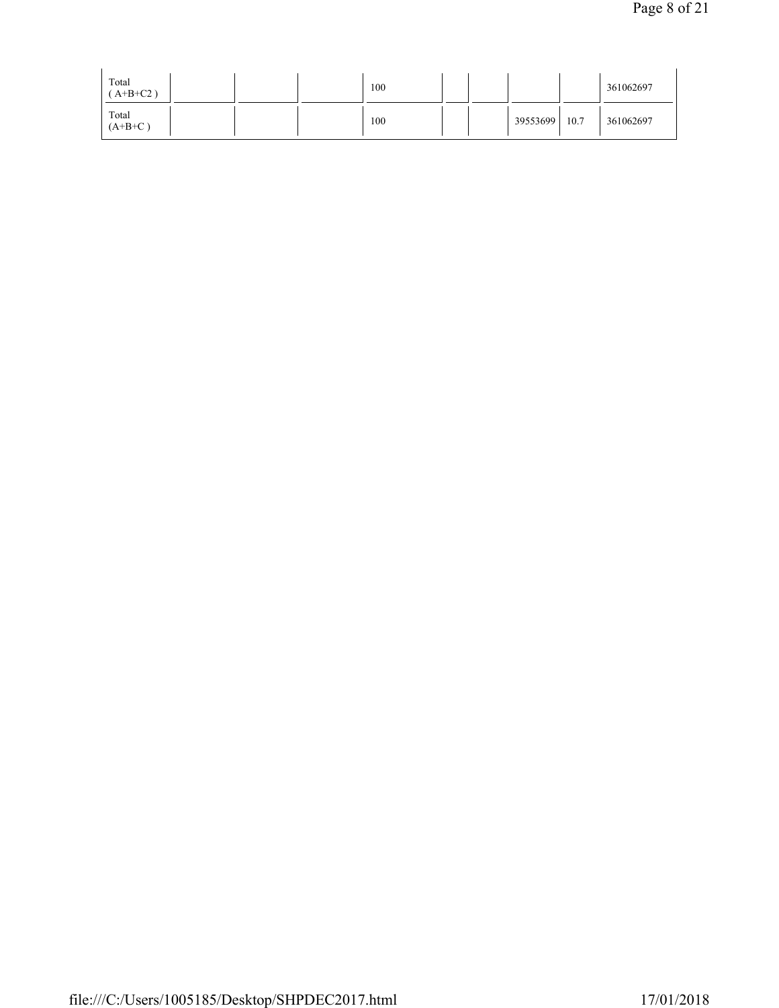| Total $(A+B+C2)$ | 100 |  |          |      | 361062697 |
|------------------|-----|--|----------|------|-----------|
| Total $(A+B+C)$  | 100 |  | 39553699 | 10.7 | 361062697 |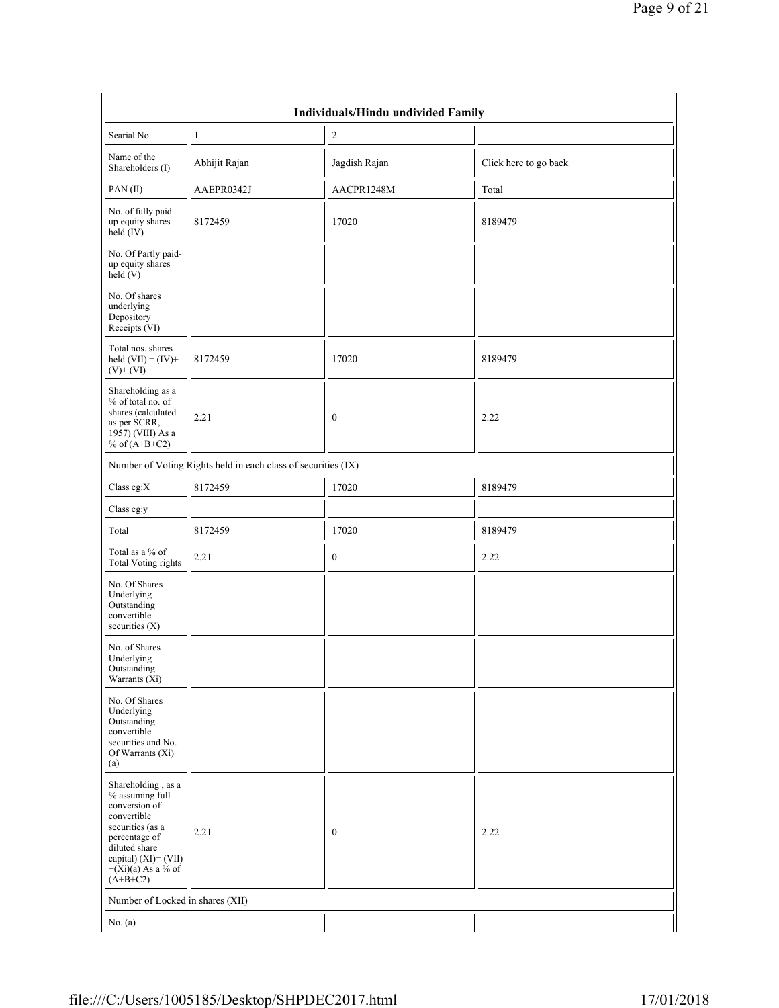| Individuals/Hindu undivided Family                                                                                                                                                           |                                                               |                  |                       |  |  |  |  |  |  |
|----------------------------------------------------------------------------------------------------------------------------------------------------------------------------------------------|---------------------------------------------------------------|------------------|-----------------------|--|--|--|--|--|--|
| Searial No.                                                                                                                                                                                  | 1                                                             | $\overline{c}$   |                       |  |  |  |  |  |  |
| Name of the<br>Shareholders (I)                                                                                                                                                              | Abhijit Rajan                                                 | Jagdish Rajan    | Click here to go back |  |  |  |  |  |  |
| PAN(II)                                                                                                                                                                                      | AAEPR0342J                                                    | AACPR1248M       | Total                 |  |  |  |  |  |  |
| No. of fully paid<br>up equity shares<br>held $(IV)$                                                                                                                                         | 8172459                                                       | 17020            | 8189479               |  |  |  |  |  |  |
| No. Of Partly paid-<br>up equity shares<br>held $(V)$                                                                                                                                        |                                                               |                  |                       |  |  |  |  |  |  |
| No. Of shares<br>underlying<br>Depository<br>Receipts (VI)                                                                                                                                   |                                                               |                  |                       |  |  |  |  |  |  |
| Total nos. shares<br>held $(VII) = (IV) +$<br>$(V)+(VI)$                                                                                                                                     | 8172459                                                       | 17020            | 8189479               |  |  |  |  |  |  |
| Shareholding as a<br>$%$ of total no. of<br>shares (calculated<br>as per SCRR,<br>1957) (VIII) As a<br>% of $(A+B+C2)$                                                                       | 2.21                                                          | $\boldsymbol{0}$ | 2.22                  |  |  |  |  |  |  |
|                                                                                                                                                                                              | Number of Voting Rights held in each class of securities (IX) |                  |                       |  |  |  |  |  |  |
| Class eg:X                                                                                                                                                                                   | 8172459                                                       | 17020            | 8189479               |  |  |  |  |  |  |
| Class eg:y                                                                                                                                                                                   |                                                               |                  |                       |  |  |  |  |  |  |
| Total                                                                                                                                                                                        | 8172459                                                       | 17020            | 8189479               |  |  |  |  |  |  |
| Total as a % of<br><b>Total Voting rights</b>                                                                                                                                                | 2.21                                                          | $\boldsymbol{0}$ | 2.22                  |  |  |  |  |  |  |
| No. Of Shares<br>Underlying<br>Outstanding<br>convertible<br>securities (X)                                                                                                                  |                                                               |                  |                       |  |  |  |  |  |  |
| No. of Shares<br>Underlying<br>Outstanding<br>Warrants $(X_i)$                                                                                                                               |                                                               |                  |                       |  |  |  |  |  |  |
| No. Of Shares<br>Underlying<br>Outstanding<br>convertible<br>securities and No.<br>Of Warrants (Xi)<br>(a)                                                                                   |                                                               |                  |                       |  |  |  |  |  |  |
| Shareholding, as a<br>% assuming full<br>conversion of<br>convertible<br>securities (as a<br>percentage of<br>diluted share<br>capital) $(XI) = (VII)$<br>$+(Xi)(a)$ As a % of<br>$(A+B+C2)$ | 2.21                                                          | $\boldsymbol{0}$ | 2.22                  |  |  |  |  |  |  |
| Number of Locked in shares (XII)                                                                                                                                                             |                                                               |                  |                       |  |  |  |  |  |  |
| No. $(a)$                                                                                                                                                                                    |                                                               |                  |                       |  |  |  |  |  |  |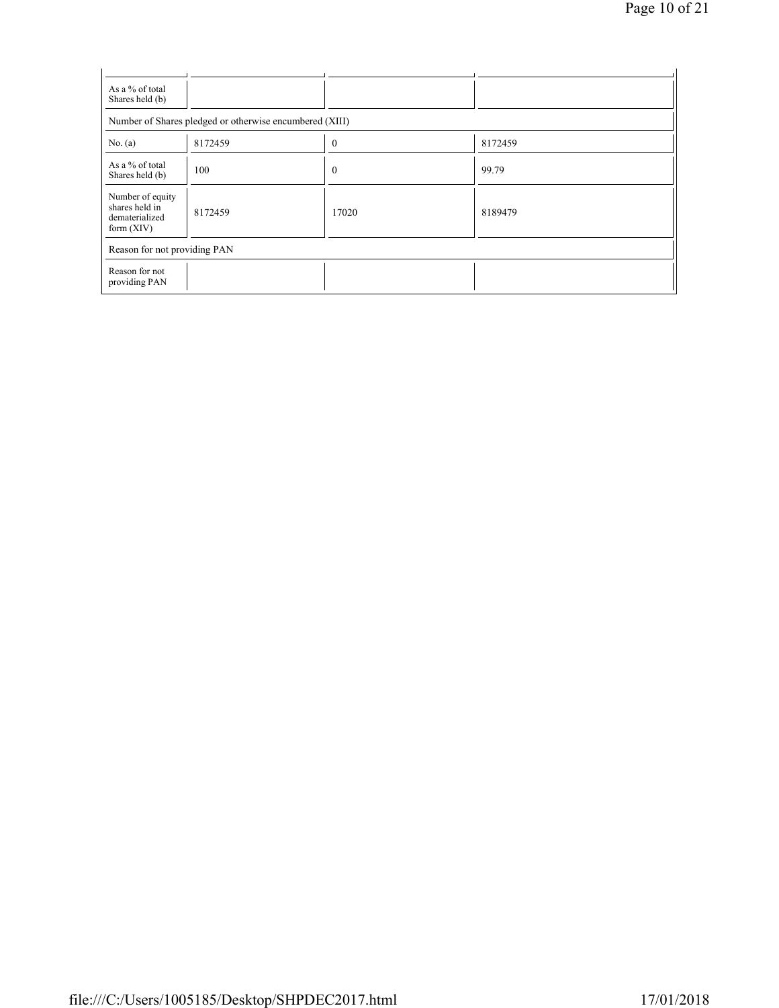| As a % of total<br>Shares held (b)                                   |         |              |         |  |  |  |  |  |  |
|----------------------------------------------------------------------|---------|--------------|---------|--|--|--|--|--|--|
| Number of Shares pledged or otherwise encumbered (XIII)              |         |              |         |  |  |  |  |  |  |
| No. (a)                                                              | 8172459 | $\theta$     | 8172459 |  |  |  |  |  |  |
| As a % of total<br>Shares held (b)                                   | 100     | $\mathbf{0}$ | 99.79   |  |  |  |  |  |  |
| Number of equity<br>shares held in<br>dematerialized<br>form $(XIV)$ | 8172459 | 17020        | 8189479 |  |  |  |  |  |  |
| Reason for not providing PAN                                         |         |              |         |  |  |  |  |  |  |
| Reason for not<br>providing PAN                                      |         |              |         |  |  |  |  |  |  |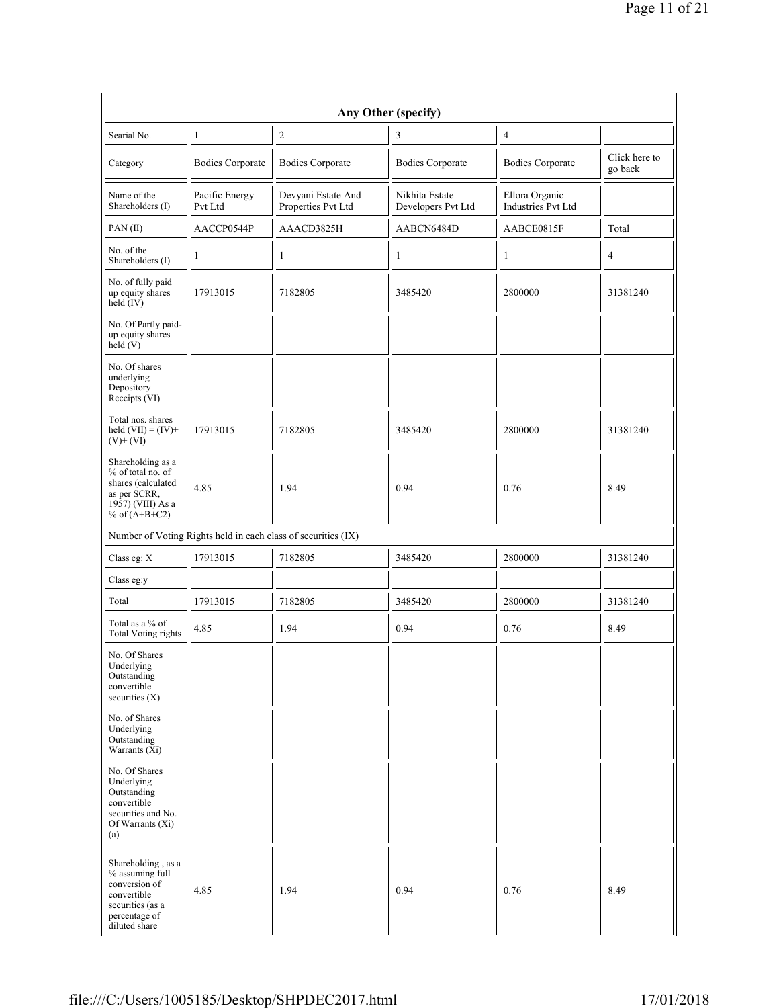|                                                                                                                             |                           |                                                               | Any Other (specify)                  |                                      |                          |
|-----------------------------------------------------------------------------------------------------------------------------|---------------------------|---------------------------------------------------------------|--------------------------------------|--------------------------------------|--------------------------|
| Searial No.                                                                                                                 | 1                         | $\sqrt{2}$                                                    | 3                                    | $\overline{4}$                       |                          |
| Category                                                                                                                    | <b>Bodies Corporate</b>   | <b>Bodies Corporate</b>                                       | <b>Bodies Corporate</b>              | <b>Bodies Corporate</b>              | Click here to<br>go back |
| Name of the<br>Shareholders (I)                                                                                             | Pacific Energy<br>Pvt Ltd | Devyani Estate And<br>Properties Pvt Ltd                      | Nikhita Estate<br>Developers Pvt Ltd | Ellora Organic<br>Industries Pvt Ltd |                          |
| PAN(II)                                                                                                                     | AACCP0544P                | AAACD3825H                                                    | AABCN6484D                           | AABCE0815F                           | Total                    |
| No. of the<br>Shareholders (I)                                                                                              | 1                         | 1                                                             | $\mathbf{1}$                         | $\mathbf{1}$                         | $\overline{4}$           |
| No. of fully paid<br>up equity shares<br>held $(V)$                                                                         | 17913015                  | 7182805                                                       | 3485420                              | 2800000                              | 31381240                 |
| No. Of Partly paid-<br>up equity shares<br>held $(V)$                                                                       |                           |                                                               |                                      |                                      |                          |
| No. Of shares<br>underlying<br>Depository<br>Receipts (VI)                                                                  |                           |                                                               |                                      |                                      |                          |
| Total nos. shares<br>held $(VII) = (IV) +$<br>$(V)$ + $(V)$                                                                 | 17913015                  | 7182805                                                       | 3485420                              | 2800000                              | 31381240                 |
| Shareholding as a<br>% of total no. of<br>shares (calculated<br>as per SCRR,<br>1957) (VIII) As a<br>% of $(A+B+C2)$        | 4.85                      | 1.94                                                          | 0.94                                 | 0.76                                 | 8.49                     |
|                                                                                                                             |                           | Number of Voting Rights held in each class of securities (IX) |                                      |                                      |                          |
| Class eg: X                                                                                                                 | 17913015                  | 7182805                                                       | 3485420                              | 2800000                              | 31381240                 |
| Class eg:y                                                                                                                  |                           |                                                               |                                      |                                      |                          |
| Total                                                                                                                       | 17913015                  | 7182805                                                       | 3485420                              | 2800000                              | 31381240                 |
| Total as a % of<br><b>Total Voting rights</b>                                                                               | 4.85                      | 1.94                                                          | 0.94                                 | 0.76                                 | 8.49                     |
| No. Of Shares<br>Underlying<br>Outstanding<br>convertible<br>securities $(X)$                                               |                           |                                                               |                                      |                                      |                          |
| No. of Shares<br>Underlying<br>Outstanding<br>Warrants (Xi)                                                                 |                           |                                                               |                                      |                                      |                          |
| No. Of Shares<br>Underlying<br>Outstanding<br>convertible<br>securities and No.<br>Of Warrants (Xi)<br>(a)                  |                           |                                                               |                                      |                                      |                          |
| Shareholding, as a<br>% assuming full<br>conversion of<br>convertible<br>securities (as a<br>percentage of<br>diluted share | 4.85                      | 1.94                                                          | 0.94                                 | 0.76                                 | 8.49                     |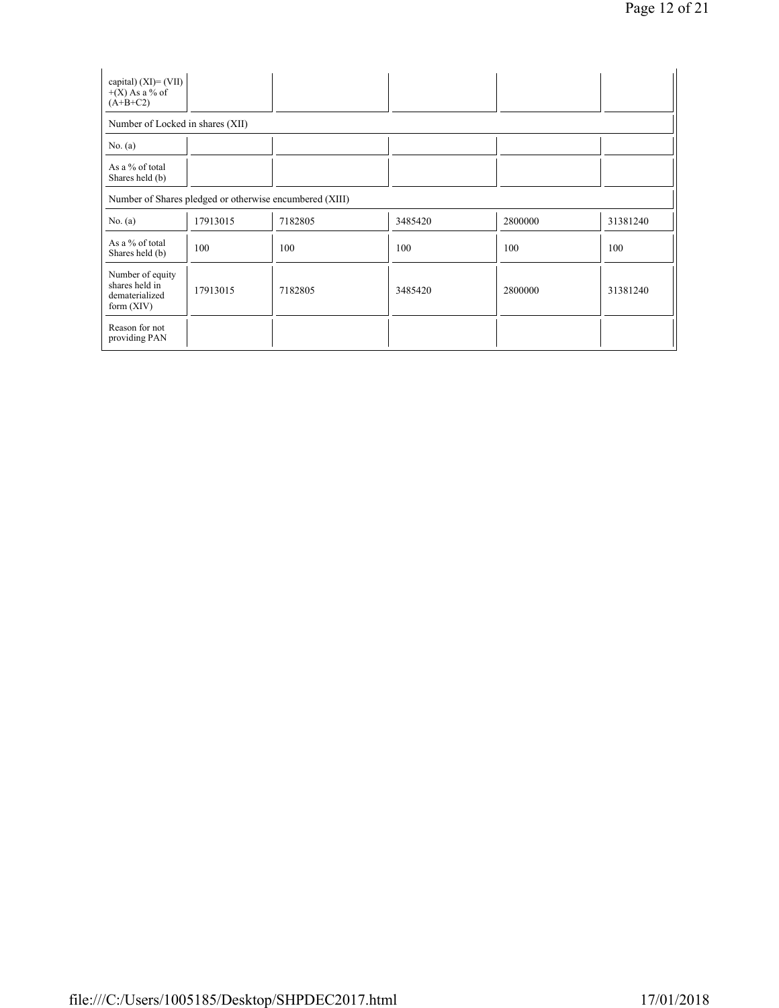| capital) $(XI) = (VII)$<br>$+(X)$ As a % of<br>$(A+B+C2)$            |          |         |         |         |          |  |  |  |  |  |
|----------------------------------------------------------------------|----------|---------|---------|---------|----------|--|--|--|--|--|
| Number of Locked in shares (XII)                                     |          |         |         |         |          |  |  |  |  |  |
| No. $(a)$                                                            |          |         |         |         |          |  |  |  |  |  |
| As a % of total<br>Shares held (b)                                   |          |         |         |         |          |  |  |  |  |  |
| Number of Shares pledged or otherwise encumbered (XIII)              |          |         |         |         |          |  |  |  |  |  |
| No. $(a)$                                                            | 17913015 | 7182805 | 3485420 | 2800000 | 31381240 |  |  |  |  |  |
| As a % of total<br>Shares held (b)                                   | 100      | 100     | 100     | 100     | 100      |  |  |  |  |  |
| Number of equity<br>shares held in<br>dematerialized<br>form $(XIV)$ | 17913015 | 7182805 | 3485420 | 2800000 | 31381240 |  |  |  |  |  |
| Reason for not<br>providing PAN                                      |          |         |         |         |          |  |  |  |  |  |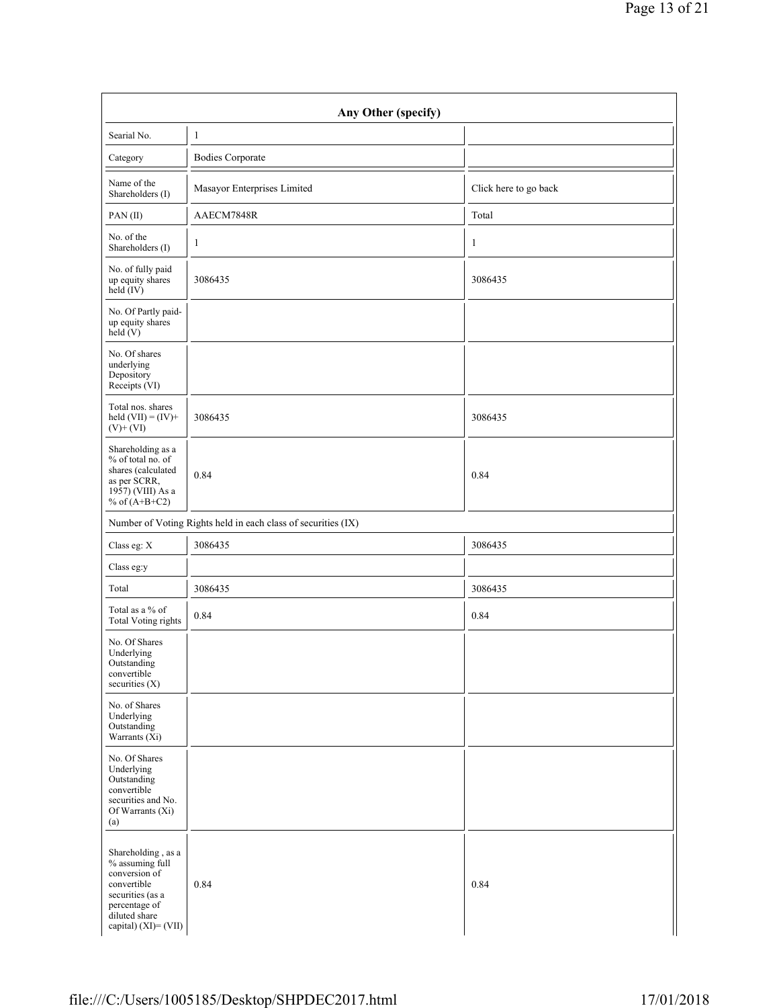| Any Other (specify)                                                                                                                                 |                                                               |                       |  |  |  |  |
|-----------------------------------------------------------------------------------------------------------------------------------------------------|---------------------------------------------------------------|-----------------------|--|--|--|--|
| Searial No.                                                                                                                                         | $\mathbf{1}$                                                  |                       |  |  |  |  |
| Category                                                                                                                                            | <b>Bodies Corporate</b>                                       |                       |  |  |  |  |
| Name of the<br>Shareholders (I)                                                                                                                     | Masayor Enterprises Limited                                   | Click here to go back |  |  |  |  |
| PAN(II)                                                                                                                                             | AAECM7848R                                                    | Total                 |  |  |  |  |
| No. of the<br>Shareholders (I)                                                                                                                      | 1                                                             | 1                     |  |  |  |  |
| No. of fully paid<br>up equity shares<br>$\text{held}(\text{IV})$                                                                                   | 3086435                                                       | 3086435               |  |  |  |  |
| No. Of Partly paid-<br>up equity shares<br>held $(V)$                                                                                               |                                                               |                       |  |  |  |  |
| No. Of shares<br>underlying<br>Depository<br>Receipts (VI)                                                                                          |                                                               |                       |  |  |  |  |
| Total nos. shares<br>held $(VII) = (IV) +$<br>$(V)+(VI)$                                                                                            | 3086435                                                       | 3086435               |  |  |  |  |
| Shareholding as a<br>% of total no. of<br>shares (calculated<br>as per SCRR,<br>1957) (VIII) As a<br>% of $(A+B+C2)$                                | 0.84                                                          | 0.84                  |  |  |  |  |
|                                                                                                                                                     | Number of Voting Rights held in each class of securities (IX) |                       |  |  |  |  |
| Class eg: X                                                                                                                                         | 3086435                                                       | 3086435               |  |  |  |  |
| Class eg:y                                                                                                                                          |                                                               |                       |  |  |  |  |
| Total                                                                                                                                               | 3086435                                                       | 3086435               |  |  |  |  |
| Total as a % of<br><b>Total Voting rights</b>                                                                                                       | 0.84                                                          | 0.84                  |  |  |  |  |
| No. Of Shares<br>Underlying<br>Outstanding<br>convertible<br>securities $(X)$                                                                       |                                                               |                       |  |  |  |  |
| No. of Shares<br>Underlying<br>Outstanding<br>Warrants $(X_i)$                                                                                      |                                                               |                       |  |  |  |  |
| No. Of Shares<br>Underlying<br>Outstanding<br>convertible<br>securities and No.<br>Of Warrants (Xi)<br>(a)                                          |                                                               |                       |  |  |  |  |
| Shareholding, as a<br>% assuming full<br>conversion of<br>convertible<br>securities (as a<br>percentage of<br>diluted share<br>capital) (XI)= (VII) | 0.84                                                          | 0.84                  |  |  |  |  |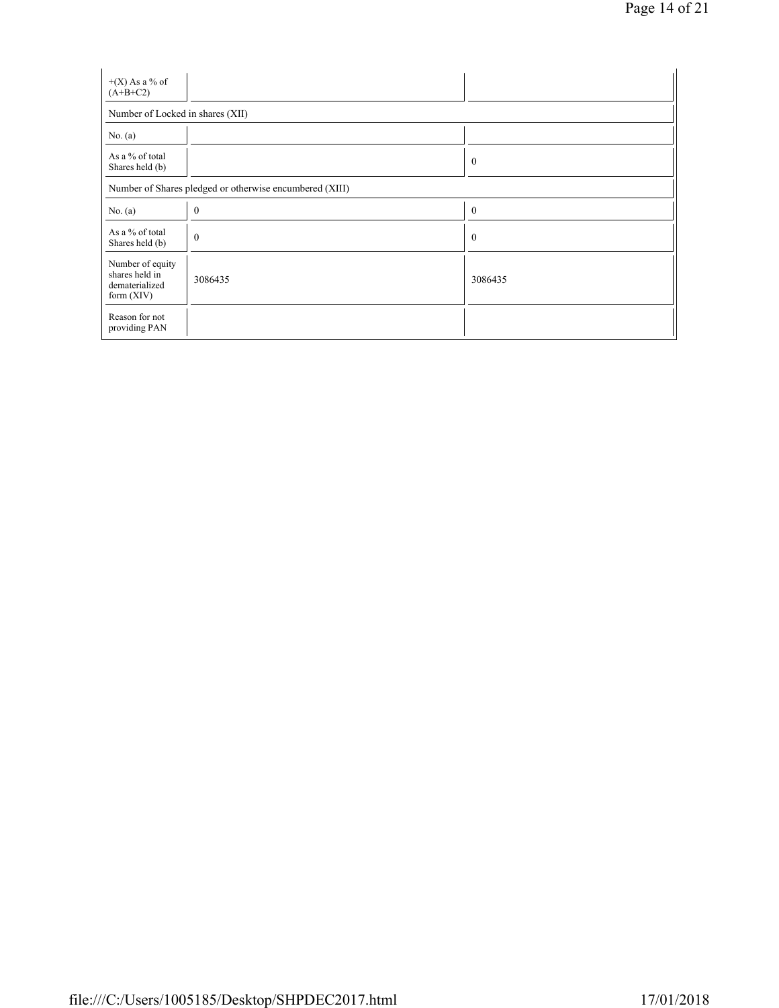| $+(X)$ As a % of<br>$(A+B+C2)$                                       |                                                         |                  |  |  |  |  |  |
|----------------------------------------------------------------------|---------------------------------------------------------|------------------|--|--|--|--|--|
| Number of Locked in shares (XII)                                     |                                                         |                  |  |  |  |  |  |
| No. $(a)$                                                            |                                                         |                  |  |  |  |  |  |
| As a % of total<br>Shares held (b)                                   |                                                         | $\boldsymbol{0}$ |  |  |  |  |  |
|                                                                      | Number of Shares pledged or otherwise encumbered (XIII) |                  |  |  |  |  |  |
| No. $(a)$                                                            | $\mathbf{0}$                                            | $\boldsymbol{0}$ |  |  |  |  |  |
| As a % of total<br>Shares held (b)                                   | $\mathbf{0}$                                            | $\boldsymbol{0}$ |  |  |  |  |  |
| Number of equity<br>shares held in<br>dematerialized<br>form $(XIV)$ | 3086435                                                 | 3086435          |  |  |  |  |  |
| Reason for not<br>providing PAN                                      |                                                         |                  |  |  |  |  |  |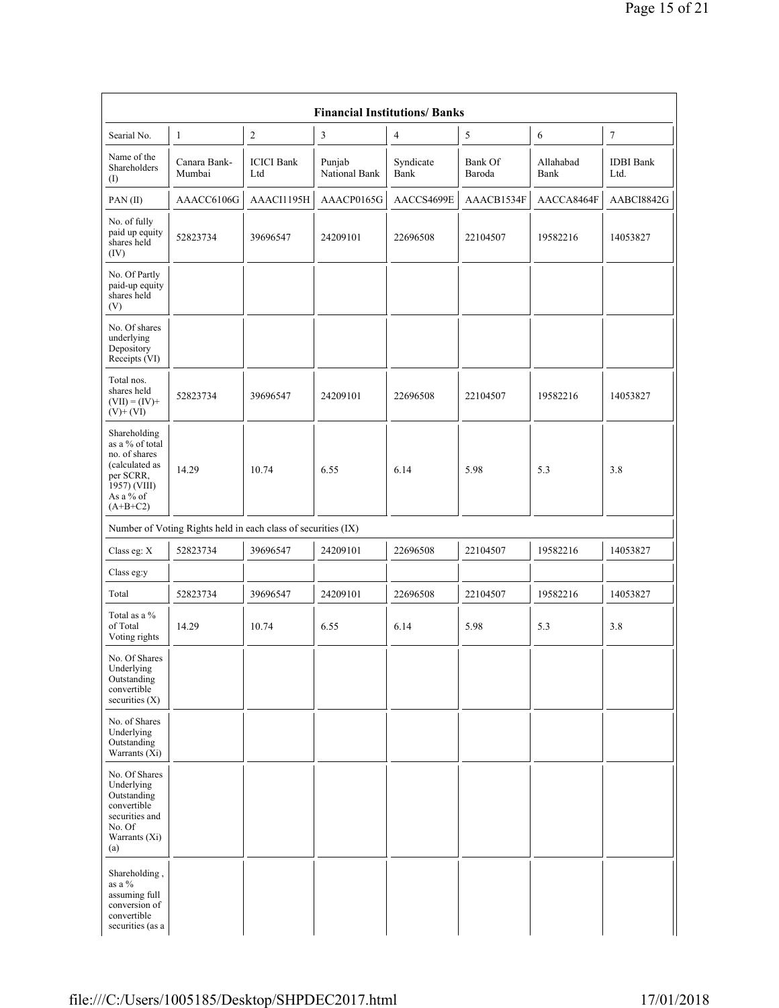| <b>Financial Institutions/Banks</b>                                                                                        |                                                               |                          |                         |                   |                   |                   |                          |
|----------------------------------------------------------------------------------------------------------------------------|---------------------------------------------------------------|--------------------------|-------------------------|-------------------|-------------------|-------------------|--------------------------|
| Searial No.                                                                                                                | $\mathbf{1}$                                                  | $\mathbf{2}$             | $\mathfrak{Z}$          | 4                 | 5                 | 6                 | $\boldsymbol{7}$         |
| Name of the<br>Shareholders<br>(1)                                                                                         | Canara Bank-<br>Mumbai                                        | <b>ICICI</b> Bank<br>Ltd | Punjab<br>National Bank | Syndicate<br>Bank | Bank Of<br>Baroda | Allahabad<br>Bank | <b>IDBI</b> Bank<br>Ltd. |
| PAN(II)                                                                                                                    | AAACC6106G                                                    | AAACI1195H               | AAACP0165G              | AACCS4699E        | AAACB1534F        | AACCA8464F        | AABCI8842G               |
| No. of fully<br>paid up equity<br>shares held<br>(IV)                                                                      | 52823734                                                      | 39696547                 | 24209101                | 22696508          | 22104507          | 19582216          | 14053827                 |
| No. Of Partly<br>paid-up equity<br>shares held<br>(V)                                                                      |                                                               |                          |                         |                   |                   |                   |                          |
| No. Of shares<br>underlying<br>Depository<br>Receipts (VI)                                                                 |                                                               |                          |                         |                   |                   |                   |                          |
| Total nos.<br>shares held<br>$(VII) = (IV) +$<br>$(V)+(VI)$                                                                | 52823734                                                      | 39696547                 | 24209101                | 22696508          | 22104507          | 19582216          | 14053827                 |
| Shareholding<br>as a % of total<br>no. of shares<br>(calculated as<br>per SCRR,<br>1957) (VIII)<br>As a % of<br>$(A+B+C2)$ | 14.29                                                         | 10.74                    | 6.55                    | 6.14              | 5.98              | 5.3               | 3.8                      |
|                                                                                                                            | Number of Voting Rights held in each class of securities (IX) |                          |                         |                   |                   |                   |                          |
| Class eg: X                                                                                                                | 52823734                                                      | 39696547                 | 24209101                | 22696508          | 22104507          | 19582216          | 14053827                 |
| Class eg:y                                                                                                                 |                                                               |                          |                         |                   |                   |                   |                          |
| Total                                                                                                                      | 52823734                                                      | 39696547                 | 24209101                | 22696508          | 22104507          | 19582216          | 14053827                 |
| Total as a %<br>of Total<br>Voting rights                                                                                  | 14.29                                                         | 10.74                    | 6.55                    | 6.14              | 5.98              | 5.3               | 3.8                      |
| No. Of Shares<br>Underlying<br>Outstanding<br>convertible<br>securities (X)                                                |                                                               |                          |                         |                   |                   |                   |                          |
| No. of Shares<br>Underlying<br>Outstanding<br>Warrants (Xi)                                                                |                                                               |                          |                         |                   |                   |                   |                          |
| No. Of Shares<br>Underlying<br>Outstanding<br>convertible<br>securities and<br>No. Of<br>Warrants (Xi)<br>(a)              |                                                               |                          |                         |                   |                   |                   |                          |
| Shareholding,<br>as a %<br>assuming full<br>conversion of<br>convertible<br>securities (as a                               |                                                               |                          |                         |                   |                   |                   |                          |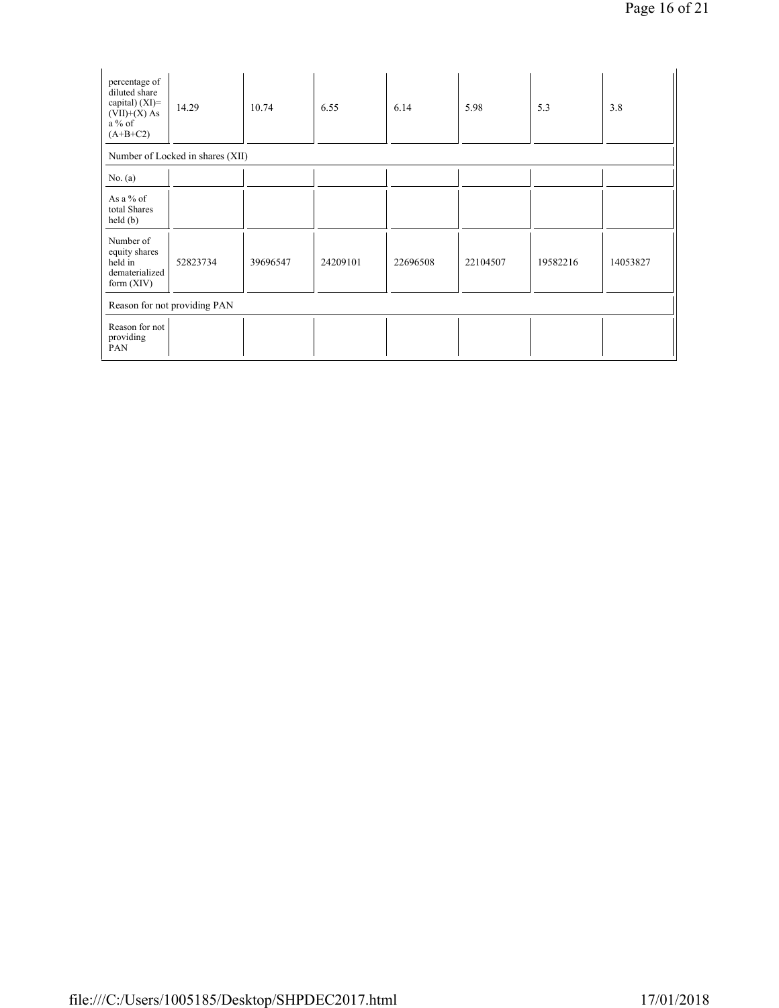| percentage of<br>diluted share<br>capital) $(XI)$ =<br>$(VII)+(X)$ As<br>$a\%$ of<br>$(A+B+C2)$ | 14.29                            | 10.74    | 6.55     | 6.14     | 5.98     | 5.3      | 3.8      |
|-------------------------------------------------------------------------------------------------|----------------------------------|----------|----------|----------|----------|----------|----------|
|                                                                                                 | Number of Locked in shares (XII) |          |          |          |          |          |          |
| No. $(a)$                                                                                       |                                  |          |          |          |          |          |          |
| As a % of<br>total Shares<br>held(b)                                                            |                                  |          |          |          |          |          |          |
| Number of<br>equity shares<br>held in<br>dematerialized<br>form $(XIV)$                         | 52823734                         | 39696547 | 24209101 | 22696508 | 22104507 | 19582216 | 14053827 |
| Reason for not providing PAN                                                                    |                                  |          |          |          |          |          |          |
| Reason for not<br>providing<br>PAN                                                              |                                  |          |          |          |          |          |          |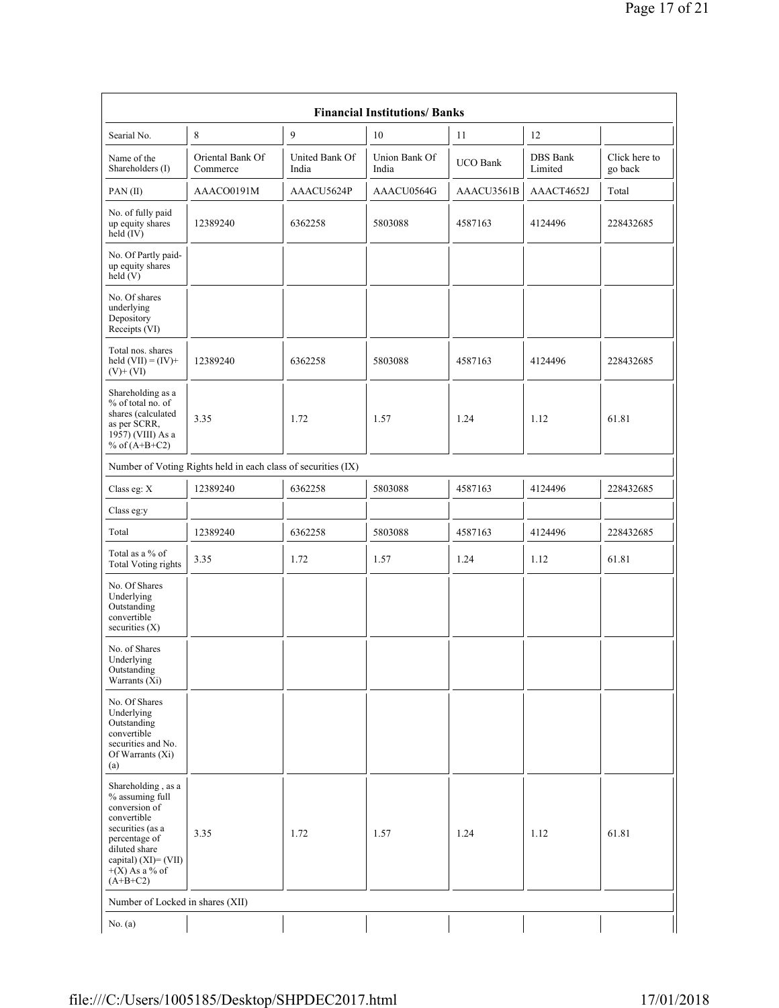| <b>Financial Institutions/ Banks</b>                                                                                                                                                  |                                                               |                         |                        |                 |                            |                          |
|---------------------------------------------------------------------------------------------------------------------------------------------------------------------------------------|---------------------------------------------------------------|-------------------------|------------------------|-----------------|----------------------------|--------------------------|
| Searial No.                                                                                                                                                                           | 8                                                             | 9                       | 10                     | 11              | 12                         |                          |
| Name of the<br>Shareholders (I)                                                                                                                                                       | Oriental Bank Of<br>Commerce                                  | United Bank Of<br>India | Union Bank Of<br>India | <b>UCO Bank</b> | <b>DBS</b> Bank<br>Limited | Click here to<br>go back |
| PAN(II)                                                                                                                                                                               | AAACO0191M                                                    | AAACU5624P              | AAACU0564G             | AAACU3561B      | AAACT4652J                 | Total                    |
| No. of fully paid<br>up equity shares<br>held $(IV)$                                                                                                                                  | 12389240                                                      | 6362258                 | 5803088                | 4587163         | 4124496                    | 228432685                |
| No. Of Partly paid-<br>up equity shares<br>held $(V)$                                                                                                                                 |                                                               |                         |                        |                 |                            |                          |
| No. Of shares<br>underlying<br>Depository<br>Receipts (VI)                                                                                                                            |                                                               |                         |                        |                 |                            |                          |
| Total nos. shares<br>held $(VII) = (IV) +$<br>$(V)+(VI)$                                                                                                                              | 12389240                                                      | 6362258                 | 5803088                | 4587163         | 4124496                    | 228432685                |
| Shareholding as a<br>% of total no. of<br>shares (calculated<br>as per SCRR,<br>1957) (VIII) As a<br>% of $(A+B+C2)$                                                                  | 3.35                                                          | 1.72                    | 1.57                   | 1.24            | 1.12                       | 61.81                    |
|                                                                                                                                                                                       | Number of Voting Rights held in each class of securities (IX) |                         |                        |                 |                            |                          |
| Class eg: X                                                                                                                                                                           | 12389240                                                      | 6362258                 | 5803088                | 4587163         | 4124496                    | 228432685                |
| Class eg:y                                                                                                                                                                            |                                                               |                         |                        |                 |                            |                          |
| Total                                                                                                                                                                                 | 12389240                                                      | 6362258                 | 5803088                | 4587163         | 4124496                    | 228432685                |
| Total as a % of<br><b>Total Voting rights</b>                                                                                                                                         | 3.35                                                          | 1.72                    | 1.57                   | 1.24            | 1.12                       | 61.81                    |
| No. Of Shares<br>Underlying<br>Outstanding<br>convertible<br>securities $(X)$                                                                                                         |                                                               |                         |                        |                 |                            |                          |
| No. of Shares<br>Underlying<br>Outstanding<br>Warrants (Xi)                                                                                                                           |                                                               |                         |                        |                 |                            |                          |
| No. Of Shares<br>Underlying<br>Outstanding<br>convertible<br>securities and No.<br>Of Warrants (Xi)<br>(a)                                                                            |                                                               |                         |                        |                 |                            |                          |
| Shareholding, as a<br>% assuming full<br>conversion of<br>convertible<br>securities (as a<br>percentage of<br>diluted share<br>capital) (XI)= (VII)<br>$+(X)$ As a % of<br>$(A+B+C2)$ | 3.35                                                          | 1.72                    | 1.57                   | 1.24            | 1.12                       | 61.81                    |
| Number of Locked in shares (XII)                                                                                                                                                      |                                                               |                         |                        |                 |                            |                          |
| No. $(a)$                                                                                                                                                                             |                                                               |                         |                        |                 |                            |                          |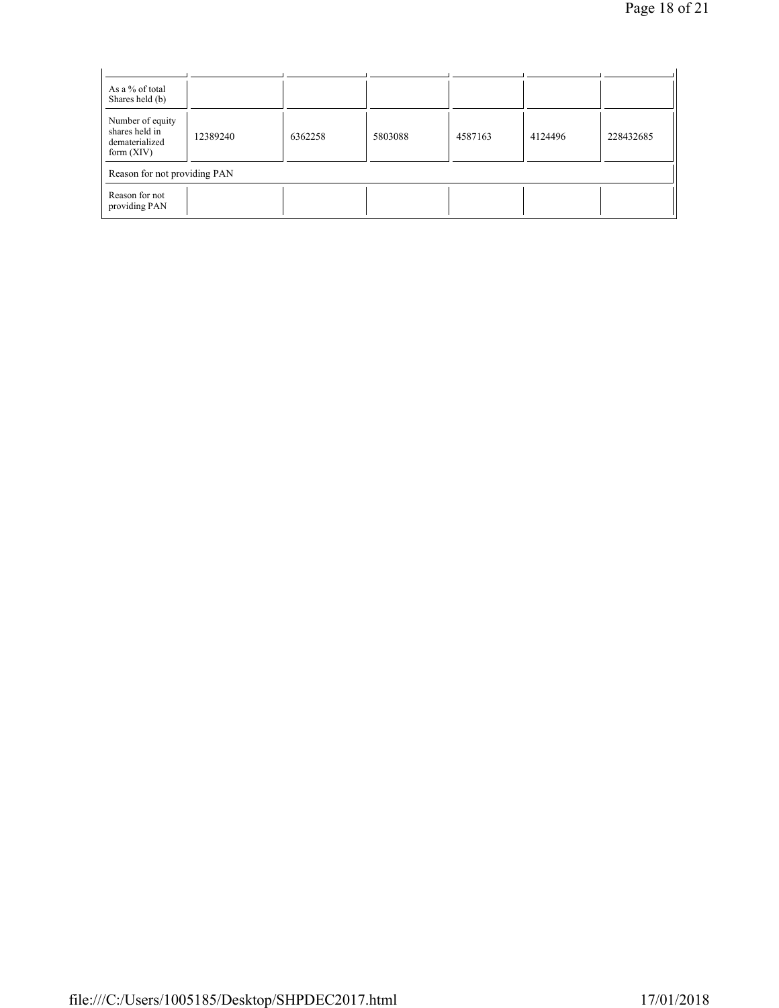| As a % of total<br>Shares held (b)                                   |          |         |         |         |         |           |
|----------------------------------------------------------------------|----------|---------|---------|---------|---------|-----------|
| Number of equity<br>shares held in<br>dematerialized<br>form $(XIV)$ | 12389240 | 6362258 | 5803088 | 4587163 | 4124496 | 228432685 |
| Reason for not providing PAN                                         |          |         |         |         |         |           |
| Reason for not<br>providing PAN                                      |          |         |         |         |         |           |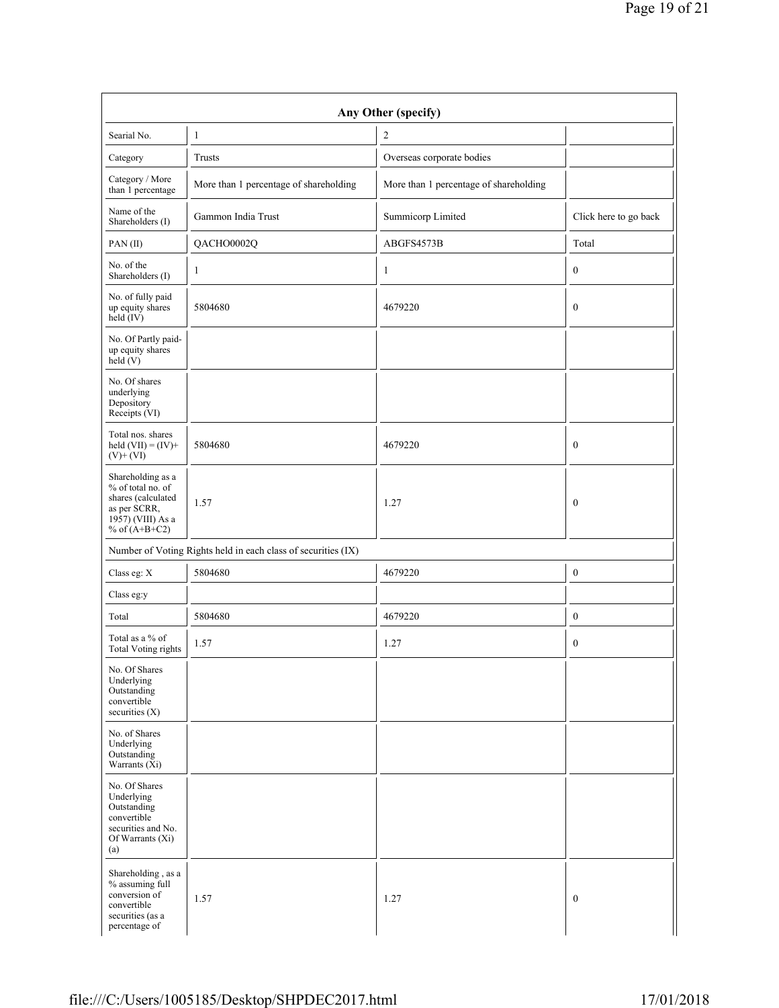| Searial No.                                                                                                          | $\mathbf{1}$                                                  | $\overline{c}$                         |                       |
|----------------------------------------------------------------------------------------------------------------------|---------------------------------------------------------------|----------------------------------------|-----------------------|
| Category                                                                                                             | Trusts                                                        | Overseas corporate bodies              |                       |
| Category / More<br>than 1 percentage                                                                                 | More than 1 percentage of shareholding                        | More than 1 percentage of shareholding |                       |
| Name of the<br>Shareholders (I)                                                                                      | Gammon India Trust                                            | Summicorp Limited                      | Click here to go back |
| PAN(II)                                                                                                              | QACHO0002Q                                                    | ABGFS4573B                             | Total                 |
| No. of the<br>Shareholders (I)                                                                                       | 1                                                             | $\mathbf{1}$                           | $\boldsymbol{0}$      |
| No. of fully paid<br>up equity shares<br>held $(V)$                                                                  | 5804680                                                       | 4679220                                | $\boldsymbol{0}$      |
| No. Of Partly paid-<br>up equity shares<br>held $(V)$                                                                |                                                               |                                        |                       |
| No. Of shares<br>underlying<br>Depository<br>Receipts (VI)                                                           |                                                               |                                        |                       |
| Total nos. shares<br>held $(VII) = (IV) +$<br>$(V)+(VI)$                                                             | 5804680                                                       | 4679220                                | $\boldsymbol{0}$      |
| Shareholding as a<br>% of total no. of<br>shares (calculated<br>as per SCRR,<br>1957) (VIII) As a<br>% of $(A+B+C2)$ | 1.57                                                          | 1.27                                   | $\bf{0}$              |
|                                                                                                                      | Number of Voting Rights held in each class of securities (IX) |                                        |                       |
| Class eg: $\mathbf X$                                                                                                | 5804680                                                       | 4679220                                | $\boldsymbol{0}$      |
| Class eg:y                                                                                                           |                                                               |                                        |                       |
| Total                                                                                                                | 5804680                                                       | 4679220                                | $\boldsymbol{0}$      |
| Total as a % of<br><b>Total Voting rights</b>                                                                        | 1.57                                                          | 1.27                                   | $\boldsymbol{0}$      |
| No. Of Shares<br>Underlying<br>Outstanding<br>convertible<br>securities (X)                                          |                                                               |                                        |                       |
| No. of Shares<br>Underlying<br>Outstanding<br>Warrants $(X_i)$                                                       |                                                               |                                        |                       |
| No. Of Shares<br>Underlying<br>Outstanding<br>convertible<br>securities and No.<br>Of Warrants (Xi)<br>(a)           |                                                               |                                        |                       |
| Shareholding, as a<br>% assuming full<br>conversion of<br>convertible<br>securities (as a                            | 1.57                                                          | 1.27                                   | $\boldsymbol{0}$      |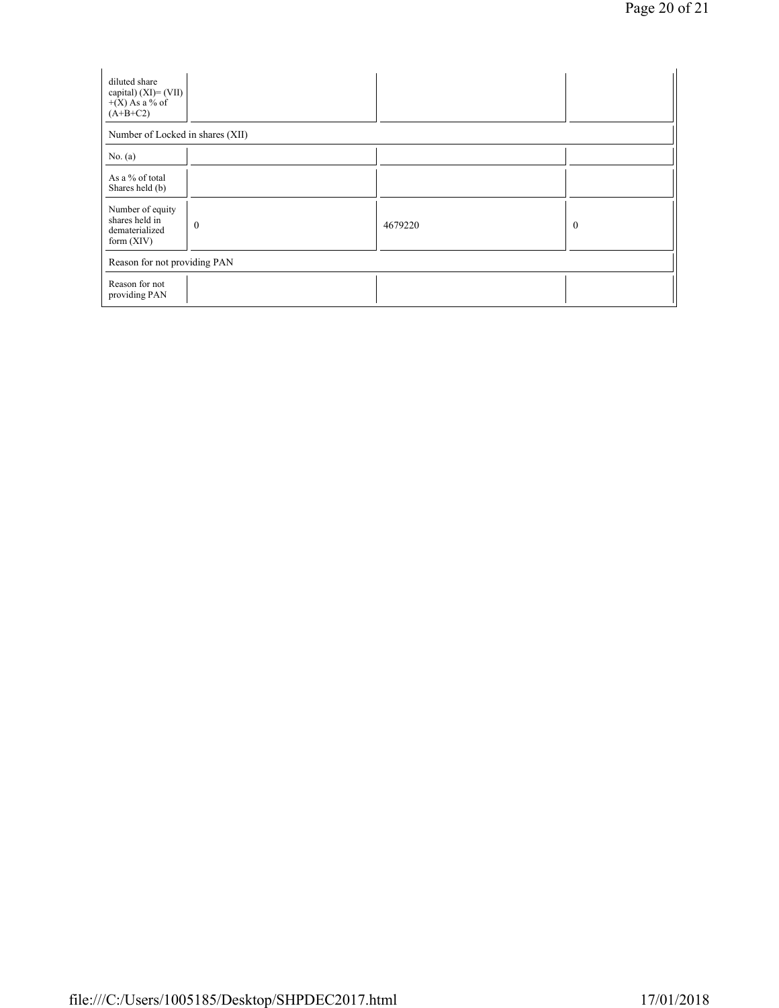| diluted share<br>capital) $(XI) = (VII)$<br>$+(X)$ As a % of<br>$(A+B+C2)$ |              |         |              |  |  |  |
|----------------------------------------------------------------------------|--------------|---------|--------------|--|--|--|
| Number of Locked in shares (XII)                                           |              |         |              |  |  |  |
| No. $(a)$                                                                  |              |         |              |  |  |  |
| As a % of total<br>Shares held (b)                                         |              |         |              |  |  |  |
| Number of equity<br>shares held in<br>dematerialized<br>form $(XIV)$       | $\mathbf{0}$ | 4679220 | $\mathbf{0}$ |  |  |  |
| Reason for not providing PAN                                               |              |         |              |  |  |  |
| Reason for not<br>providing PAN                                            |              |         |              |  |  |  |